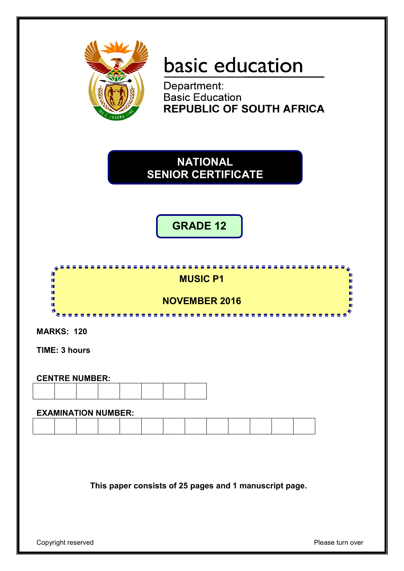

## basic education

Department:<br>Basic Education **REPUBLIC OF SOUTH AFRICA** 

**NATIONAL SENIOR CERTIFICATE**

**GRADE 12**



**MARKS: 120**

**TIME: 3 hours**

| <b>CENTRE NUMBER:</b> |  |  |  |
|-----------------------|--|--|--|
|                       |  |  |  |

#### **EXAMINATION NUMBER:**

**This paper consists of 25 pages and 1 manuscript page.**

Copyright reserved **Please** turn over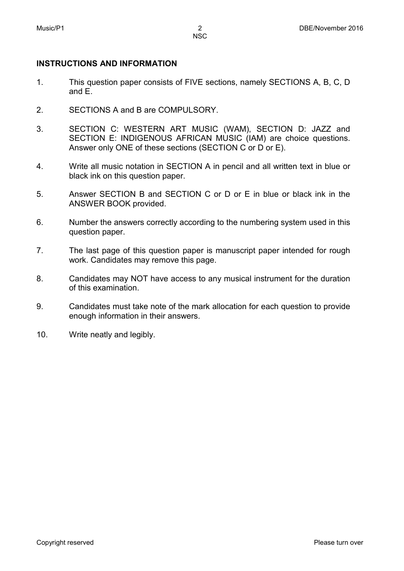#### **INSTRUCTIONS AND INFORMATION**

- 1. This question paper consists of FIVE sections, namely SECTIONS A, B, C, D and E.
- 2. SECTIONS A and B are COMPULSORY.
- 3. SECTION C: WESTERN ART MUSIC (WAM), SECTION D: JAZZ and SECTION E: INDIGENOUS AFRICAN MUSIC (IAM) are choice questions. Answer only ONE of these sections (SECTION C or D or E).
- 4. Write all music notation in SECTION A in pencil and all written text in blue or black ink on this question paper.
- 5. Answer SECTION B and SECTION C or D or E in blue or black ink in the ANSWER BOOK provided.
- 6. Number the answers correctly according to the numbering system used in this question paper.
- 7. The last page of this question paper is manuscript paper intended for rough work. Candidates may remove this page.
- 8. Candidates may NOT have access to any musical instrument for the duration of this examination.
- 9. Candidates must take note of the mark allocation for each question to provide enough information in their answers.
- 10. Write neatly and legibly.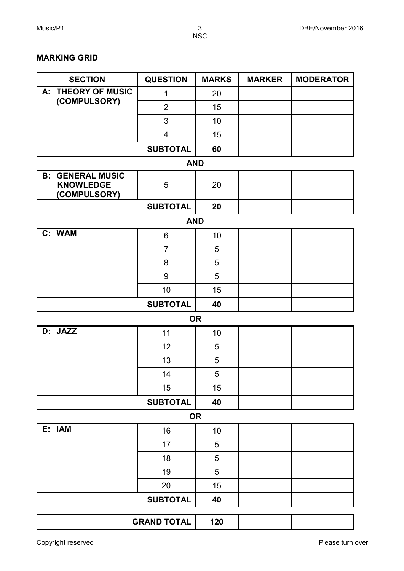#### **MARKING GRID**

| <b>SECTION</b>                                                        | <b>QUESTION</b>    | <b>MARKS</b>    | <b>MARKER</b> | <b>MODERATOR</b> |
|-----------------------------------------------------------------------|--------------------|-----------------|---------------|------------------|
| THEORY OF MUSIC<br>A:                                                 | 1                  | 20              |               |                  |
| (COMPULSORY)                                                          | $\overline{2}$     | 15              |               |                  |
|                                                                       | 3                  | 10              |               |                  |
|                                                                       | $\overline{4}$     | 15              |               |                  |
|                                                                       | <b>SUBTOTAL</b>    | 60              |               |                  |
|                                                                       | <b>AND</b>         |                 |               |                  |
| <b>GENERAL MUSIC</b><br><b>B:</b><br><b>KNOWLEDGE</b><br>(COMPULSORY) | 5                  | 20              |               |                  |
|                                                                       | <b>SUBTOTAL</b>    | 20              |               |                  |
|                                                                       | <b>AND</b>         |                 |               |                  |
| C: WAM                                                                | 6                  | 10              |               |                  |
|                                                                       | $\overline{7}$     | 5               |               |                  |
|                                                                       | 8                  | 5               |               |                  |
|                                                                       | 9                  | 5               |               |                  |
|                                                                       | 10                 | 15              |               |                  |
|                                                                       | <b>SUBTOTAL</b>    | 40              |               |                  |
|                                                                       |                    | <b>OR</b>       |               |                  |
| D: JAZZ                                                               | 11                 | 10              |               |                  |
|                                                                       | 12                 | 5               |               |                  |
|                                                                       | 13                 | $\sqrt{5}$      |               |                  |
|                                                                       | 14                 | 5               |               |                  |
|                                                                       | 15                 | 15              |               |                  |
|                                                                       | <b>SUBTOTAL</b>    | 40              |               |                  |
|                                                                       |                    | <b>OR</b>       |               |                  |
| E:<br><b>IAM</b>                                                      | 16                 | 10 <sup>1</sup> |               |                  |
|                                                                       | 17                 | 5               |               |                  |
|                                                                       | 18                 | $\sqrt{5}$      |               |                  |
|                                                                       | 19                 | 5               |               |                  |
|                                                                       | 20                 | 15              |               |                  |
|                                                                       | <b>SUBTOTAL</b>    | 40              |               |                  |
|                                                                       | <b>GRAND TOTAL</b> | 120             |               |                  |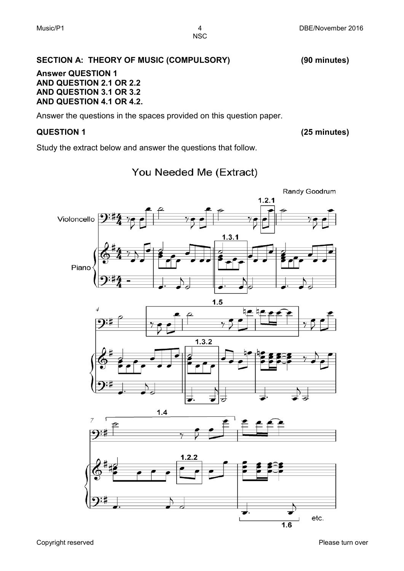etc.

 $\overline{1.6}$ 

**NSC** 

## **SECTION A: THEORY OF MUSIC (COMPULSORY) (90 minutes)**

#### **Answer QUESTION 1 AND QUESTION 2.1 OR 2.2 AND QUESTION 3.1 OR 3.2 AND QUESTION 4.1 OR 4.2.**

Answer the questions in the spaces provided on this question paper.

## **QUESTION 1 (25 minutes)**

Study the extract below and answer the questions that follow.



## You Needed Me (Extract)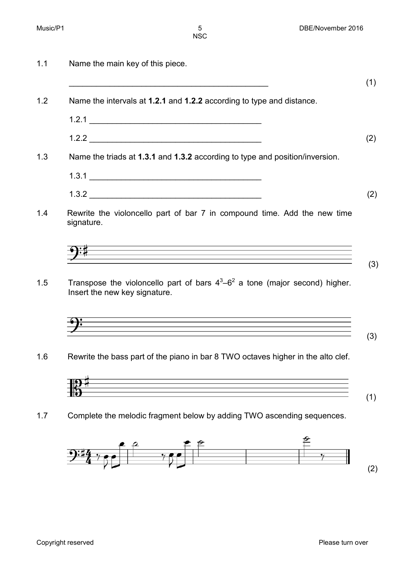1.1 Name the main key of this piece.  $\overline{\phantom{a}}$  (1) 1.2 Name the intervals at **1.2.1** and **1.2.2** according to type and distance. 1.2.1 \_\_\_\_\_\_\_\_\_\_\_\_\_\_\_\_\_\_\_\_\_\_\_\_\_\_\_\_\_\_\_\_\_\_\_\_\_\_  $1.2.2$  (2) 1.3 Name the triads at **1.3.1** and **1.3.2** according to type and position/inversion.  $1.3.1$   $\frac{1.3.1}$   $\frac{1.3.1}$   $\frac{1.3.1}$   $\frac{1}{1.3.1}$   $\frac{1}{1.3.1}$   $\frac{1}{1.3.1}$   $\frac{1}{1.3.1}$   $\frac{1}{1.3.1}$   $\frac{1}{1.3.1}$   $\frac{1}{1.3.1}$   $\frac{1}{1.3.1}$   $\frac{1}{1.3.1}$   $\frac{1}{1.3.1}$   $\frac{1}{1.3.1}$   $\frac{1}{1.3.1}$   $\frac{1}{1.3$  $1.3.2$  (2) 1.4 Rewrite the violoncello part of bar 7 in compound time. Add the new time signature. (3) 1.5 Transpose the violoncello part of bars  $4^3-6^2$  a tone (major second) higher. Insert the new key signature. (3) 1.6 Rewrite the bass part of the piano in bar 8 TWO octaves higher in the alto clef. (1) 1.7 Complete the melodic fragment below by adding TWO ascending sequences.

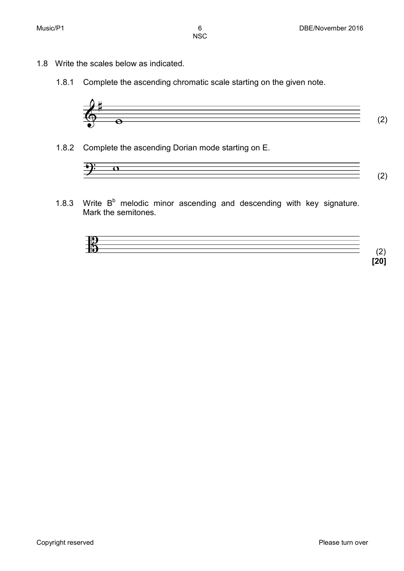- 1.8 Write the scales below as indicated.
	- 1.8.1 Complete the ascending chromatic scale starting on the given note.



1.8.2 Complete the ascending Dorian mode starting on E.



1.8.3 Write  $B<sup>b</sup>$  melodic minor ascending and descending with key signature. Mark the semitones.



**[20]**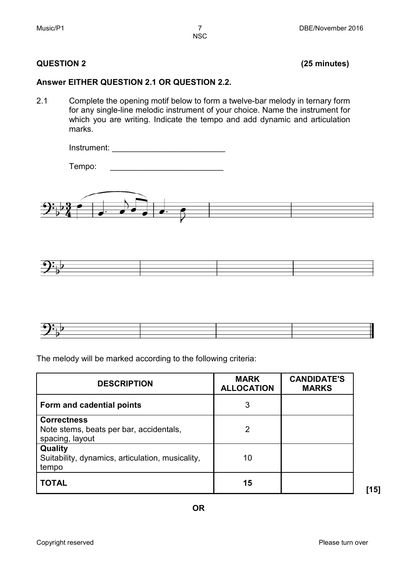## **QUESTION 2 (25 minutes)**

#### **Answer EITHER QUESTION 2.1 OR QUESTION 2.2.**

2.1 Complete the opening motif below to form a twelve-bar melody in ternary form for any single-line melodic instrument of your choice. Name the instrument for which you are writing. Indicate the tempo and add dynamic and articulation marks.

Instrument:  $\blacksquare$ 

Tempo:







The melody will be marked according to the following criteria:

| <b>DESCRIPTION</b>                                                               | <b>MARK</b><br><b>ALLOCATION</b> | <b>CANDIDATE'S</b><br><b>MARKS</b> |
|----------------------------------------------------------------------------------|----------------------------------|------------------------------------|
| Form and cadential points                                                        | 3                                |                                    |
| <b>Correctness</b><br>Note stems, beats per bar, accidentals,<br>spacing, layout | 2                                |                                    |
| Quality<br>Suitability, dynamics, articulation, musicality,<br>tempo             | 10                               |                                    |
| <b>TOTAL</b>                                                                     | 15                               |                                    |

**[15]**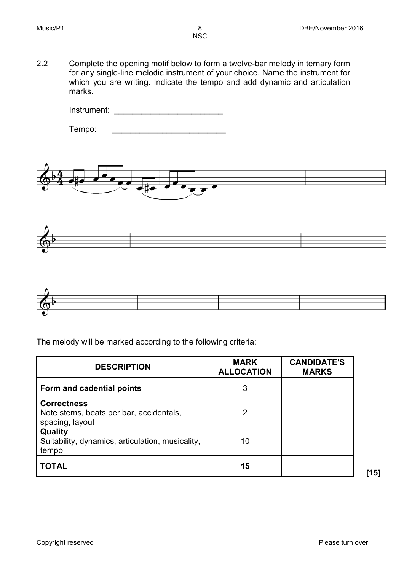2.2 Complete the opening motif below to form a twelve-bar melody in ternary form for any single-line melodic instrument of your choice. Name the instrument for which you are writing. Indicate the tempo and add dynamic and articulation marks.

| Instrument: |  |  |  |
|-------------|--|--|--|
|             |  |  |  |

Tempo:







The melody will be marked according to the following criteria:

| <b>DESCRIPTION</b>                                                               | <b>MARK</b><br><b>ALLOCATION</b> | <b>CANDIDATE'S</b><br><b>MARKS</b> |
|----------------------------------------------------------------------------------|----------------------------------|------------------------------------|
| Form and cadential points                                                        | 3                                |                                    |
| <b>Correctness</b><br>Note stems, beats per bar, accidentals,<br>spacing, layout | 2                                |                                    |
| Quality<br>Suitability, dynamics, articulation, musicality,<br>tempo             | 10                               |                                    |
| <b>TOTAL</b>                                                                     | 15                               |                                    |

**[15]**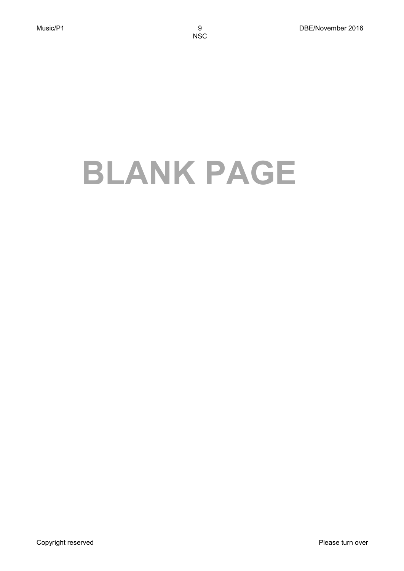# **BLANK PAGE**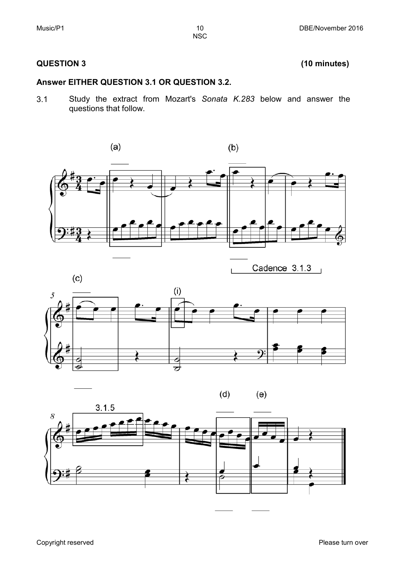## **QUESTION 3 (10 minutes)**

#### **Answer EITHER QUESTION 3.1 OR QUESTION 3.2.**

3.1 Study the extract from Mozart's *Sonata K.283* below and answer the questions that follow.



Cadence  $3.1.3$ 



 $(e)$ 

 $(d)$ 

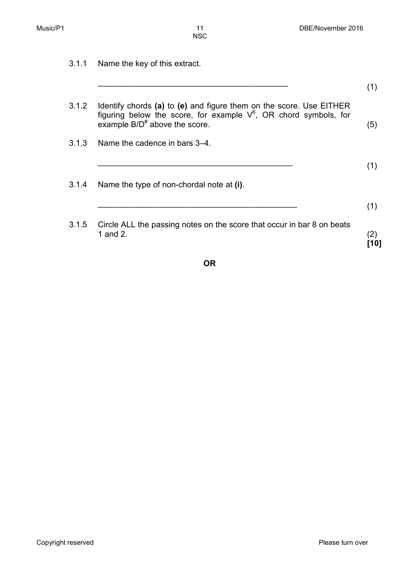- 3.1.1 Name the key of this extract.
- 3.1.2 Identify chords **(a)** to **(e)** and figure them on the score. Use EITHER figuring below the score, for example  $V^6$ , OR chord symbols, for example  $B/D^*$  above the score. (5) 3.1.3 Name the cadence in bars 3–4.

 $\overline{\phantom{a}}$  (1)

 $\overline{\phantom{a}}$  (1)

 $\overline{\phantom{a}}$  (1)

- 3.1.4 Name the type of non-chordal note at **(i)**.
- 3.1.5 Circle ALL the passing notes on the score that occur in bar 8 on beats 1 and 2.  $1$  and 2. (2) **[10]**

**OR**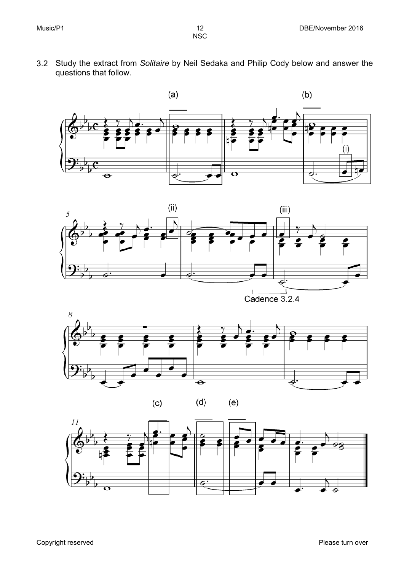3.2 Study the extract from *Solitaire* by Neil Sedaka and Philip Cody below and answer the questions that follow.







$$
(\mathsf{d})
$$

 $(c)$ 

 $(e)$ 

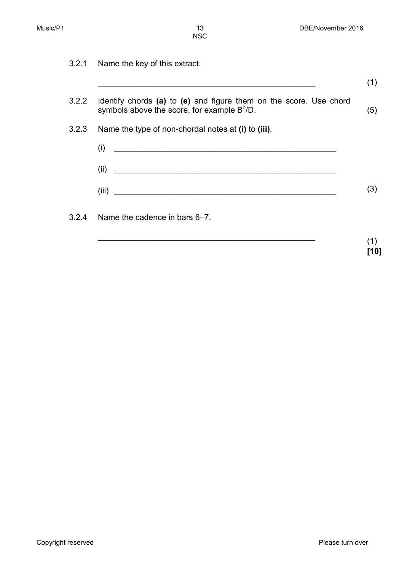|       | 3.2.1 Name the key of this extract.                                                                                           |      |
|-------|-------------------------------------------------------------------------------------------------------------------------------|------|
|       |                                                                                                                               | (1)  |
| 3.2.2 | Identify chords (a) to (e) and figure them on the score. Use chord<br>symbols above the score, for example B <sup>b</sup> /D. | (5)  |
| 3.2.3 | Name the type of non-chordal notes at (i) to (iii).                                                                           |      |
|       | (i)<br><u> 1980 - Jan Barnett, fransk politik (d. 1980)</u>                                                                   |      |
|       | (ii)                                                                                                                          |      |
|       | (iii)<br><u> 1980 - Jan Barat, margaret amerikan basal dan berasal dari berasal dalam berasal dan berasal dan berasal dan</u> | (3)  |
| 3.2.4 | Name the cadence in bars 6–7.                                                                                                 |      |
|       |                                                                                                                               | [10] |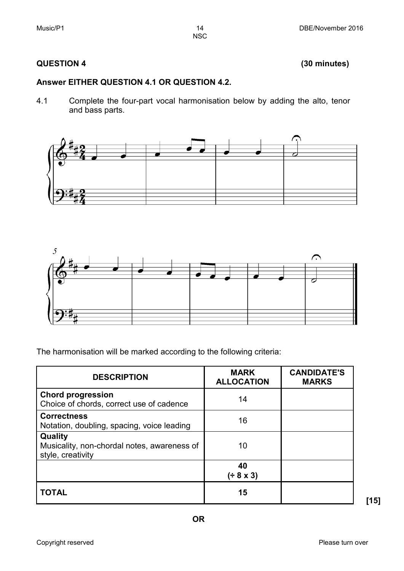## **QUESTION 4 (30 minutes)**

#### **Answer EITHER QUESTION 4.1 OR QUESTION 4.2.**

4.1 Complete the four-part vocal harmonisation below by adding the alto, tenor and bass parts.





The harmonisation will be marked according to the following criteria:

| <b>DESCRIPTION</b>                                                                 | <b>MARK</b><br><b>ALLOCATION</b> | <b>CANDIDATE'S</b><br><b>MARKS</b> |
|------------------------------------------------------------------------------------|----------------------------------|------------------------------------|
| <b>Chord progression</b><br>Choice of chords, correct use of cadence               | 14                               |                                    |
| <b>Correctness</b><br>Notation, doubling, spacing, voice leading                   | 16                               |                                    |
| <b>Quality</b><br>Musicality, non-chordal notes, awareness of<br>style, creativity | 10                               |                                    |
|                                                                                    | 40<br>(± 8 x 3)                  |                                    |
| TOTAL                                                                              | 15                               |                                    |

**[15]**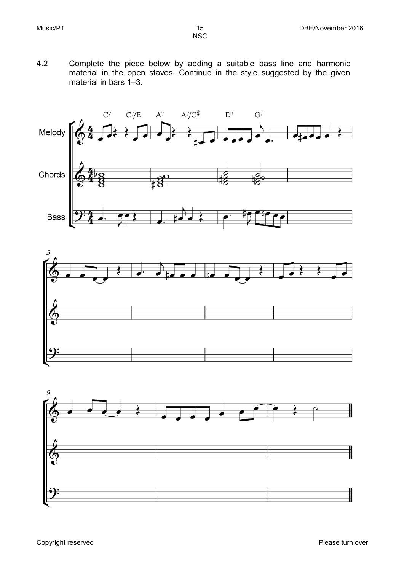4.2 Complete the piece below by adding a suitable bass line and harmonic material in the open staves. Continue in the style suggested by the given material in bars 1–3.





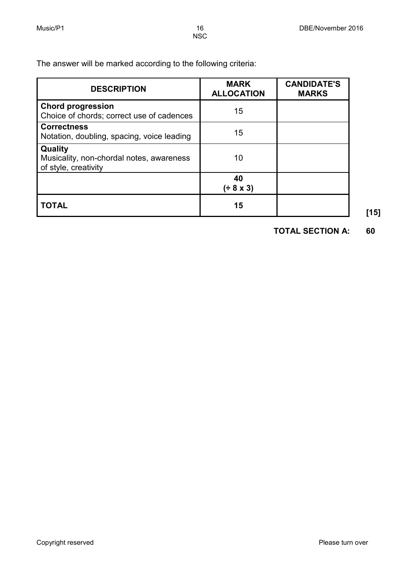The answer will be marked according to the following criteria:

| <b>DESCRIPTION</b>                                                          | <b>MARK</b><br><b>ALLOCATION</b> | <b>CANDIDATE'S</b><br><b>MARKS</b> |
|-----------------------------------------------------------------------------|----------------------------------|------------------------------------|
| <b>Chord progression</b><br>Choice of chords; correct use of cadences       | 15                               |                                    |
| <b>Correctness</b><br>Notation, doubling, spacing, voice leading            | 15                               |                                    |
| Quality<br>Musicality, non-chordal notes, awareness<br>of style, creativity | 10                               |                                    |
|                                                                             | 40<br>(÷ 8 x 3)                  |                                    |
| <b>TOTAL</b>                                                                | 15                               |                                    |

**[15]**

**TOTAL SECTION A: 60**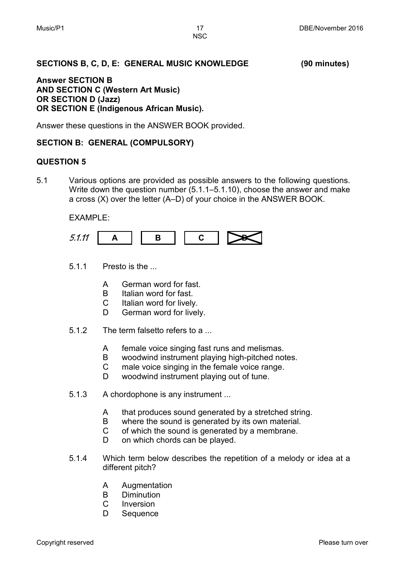#### **SECTIONS B, C, D, E: GENERAL MUSIC KNOWLEDGE (90 minutes)**

#### **Answer SECTION B AND SECTION C (Western Art Music) OR SECTION D (Jazz) OR SECTION E (Indigenous African Music).**

Answer these questions in the ANSWER BOOK provided.

#### **SECTION B: GENERAL (COMPULSORY)**

#### **QUESTION 5**

5.1 Various options are provided as possible answers to the following questions. Write down the question number (5.1.1–5.1.10), choose the answer and make a cross (X) over the letter (A–D) of your choice in the ANSWER BOOK.

#### EXAMPLE:

| -<br>، ب<br>. |  |  |  |
|---------------|--|--|--|
|               |  |  |  |

- 5.1.1 Presto is the *...*
	- A German word for fast.
	- B Italian word for fast.
	- C Italian word for lively.
	- D. German word for lively.
- 5.1.2 The term falsetto refers to a ...
	- A female voice singing fast runs and melismas.
	- B woodwind instrument playing high-pitched notes.
	- $\mathcal{C}$ male voice singing in the female voice range.
	- D. woodwind instrument playing out of tune.
- 5.1.3 A chordophone is any instrument ...
	- A that produces sound generated by a stretched string.
	- B where the sound is generated by its own material.
	- C of which the sound is generated by a membrane.
	- D. on which chords can be played.
- 5.1.4 Which term below describes the repetition of a melody or idea at a different pitch?
	- A Augmentation
	- B **Diminution**
	- C Inversion
	- D Sequence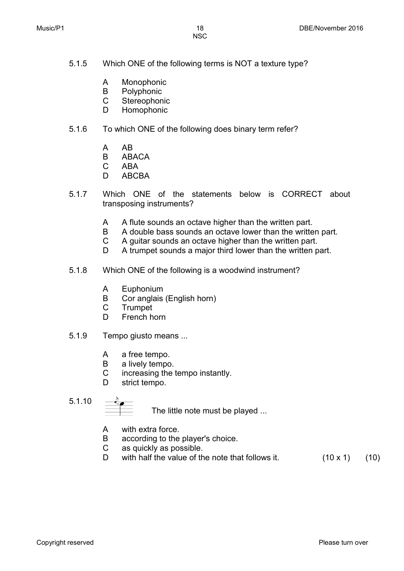- 5.1.5 Which ONE of the following terms is NOT a texture type?
	- A Monophonic
	- B Polyphonic
	- C **Stereophonic**
	- D. Homophonic
- 5.1.6 To which ONE of the following does binary term refer?
	- A AB
	- B ABACA
	- C ABA
	- D ABCBA
- 5.1.7 Which ONE of the statements below is CORRECT about transposing instruments?
	- A A flute sounds an octave higher than the written part.
	- B A double bass sounds an octave lower than the written part.
	- C A guitar sounds an octave higher than the written part.
	- D. A trumpet sounds a major third lower than the written part.
- 5.1.8 Which ONE of the following is a woodwind instrument?
	- A Euphonium
	- B Cor anglais (English horn)
	- C **Trumpet**
	- D. French horn
- 5.1.9 Tempo giusto means ...
	- A a free tempo.
	- B a lively tempo.
	- C increasing the tempo instantly.
	- D strict tempo.
- 5.1.10

The little note must be played ...

- A with extra force.
- B according to the player's choice.
- $\mathsf{C}$ as quickly as possible.
- D with half the value of the note that follows it.  $(10 \times 1)$  (10)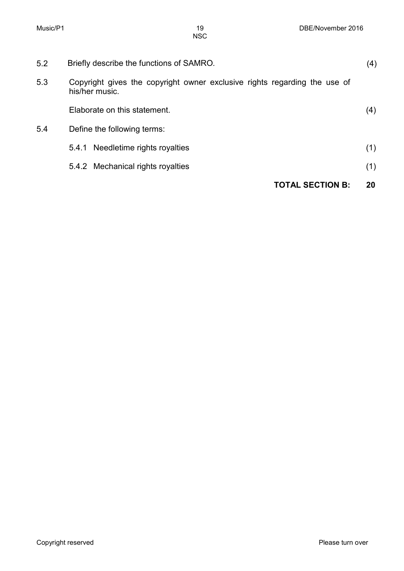5.2 Briefly describe the functions of SAMRO*.* (4) 5.3 Copyright gives the copyright owner exclusive rights regarding the use of his/her music. Elaborate on this statement. (4) 5.4 Define the following terms: 5.4.1 Needletime rights royalties 5.4.2 Mechanical rights royalties (1) (1) **TOTAL SECTION B: 20**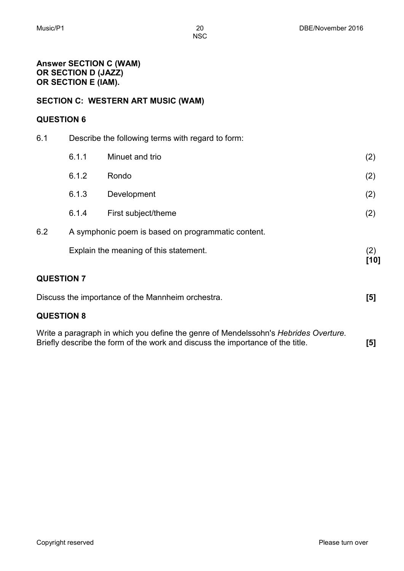#### **Answer SECTION C (WAM) OR SECTION D (JAZZ) OR SECTION E (IAM).**

## **SECTION C: WESTERN ART MUSIC (WAM)**

## **QUESTION 6**

| 6.1.1             | Minuet and trio     | (2)                                                                                                                                                                                                    |
|-------------------|---------------------|--------------------------------------------------------------------------------------------------------------------------------------------------------------------------------------------------------|
| 6.1.2             | Rondo               | (2)                                                                                                                                                                                                    |
| 6.1.3             | Development         | (2)                                                                                                                                                                                                    |
| 6.1.4             | First subject/theme | (2)                                                                                                                                                                                                    |
|                   |                     |                                                                                                                                                                                                        |
|                   |                     | (2)<br>$[10]$                                                                                                                                                                                          |
| <b>QUESTION 7</b> |                     |                                                                                                                                                                                                        |
|                   |                     | [5]                                                                                                                                                                                                    |
|                   |                     | Describe the following terms with regard to form:<br>A symphonic poem is based on programmatic content.<br>Explain the meaning of this statement.<br>Discuss the importance of the Mannheim orchestra. |

#### **QUESTION 8**

Write a paragraph in which you define the genre of Mendelssohn's *Hebrides Overture.*  Briefly describe the form of the work and discuss the importance of the title. **[5]**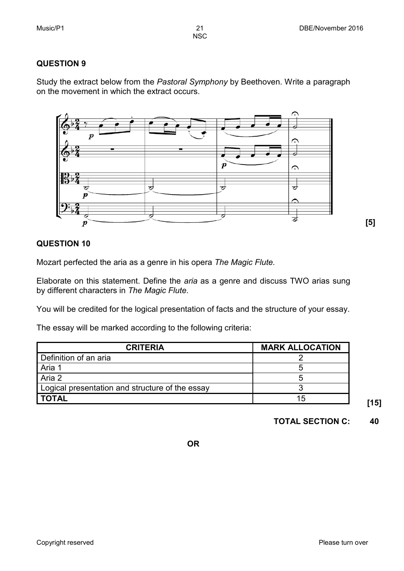#### **QUESTION 9**

Study the extract below from the *Pastoral Symphony* by Beethoven. Write a paragraph on the movement in which the extract occurs.



#### **QUESTION 10**

Mozart perfected the aria as a genre in his opera *The Magic Flute.*

Elaborate on this statement. Define the *aria* as a genre and discuss TWO arias sung by different characters in *The Magic Flute*.

You will be credited for the logical presentation of facts and the structure of your essay.

The essay will be marked according to the following criteria:

| <b>MARK ALLOCATION</b> |
|------------------------|
|                        |
|                        |
|                        |
|                        |
|                        |
|                        |

**[5]**

**TOTAL SECTION C: 40**

**OR**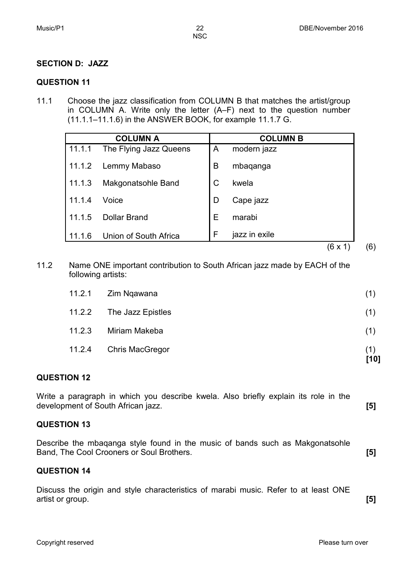## **SECTION D: JAZZ**

#### **QUESTION 11**

11.1 Choose the jazz classification from COLUMN B that matches the artist/group in COLUMN A. Write only the letter (A–F) next to the question number (11.1.1–11.1.6) in the ANSWER BOOK, for example 11.1.7 G.

|        | <b>COLUMN A</b>        |              | <b>COLUMN B</b> |
|--------|------------------------|--------------|-----------------|
| 11.1.1 | The Flying Jazz Queens | $\mathsf{A}$ | modern jazz     |
| 11.1.2 | Lemmy Mabaso           | B            | mbaqanga        |
| 11.1.3 | Makgonatsohle Band     | $\mathsf C$  | kwela           |
| 11.1.4 | Voice                  | D            | Cape jazz       |
| 11.1.5 | <b>Dollar Brand</b>    | Е            | marabi          |
| 11.1.6 | Union of South Africa  | F            | jazz in exile   |

 $(6 \times 1)$  (6)

11.2 Name ONE important contribution to South African jazz made by EACH of the following artists:

|        | 11.2.4 Chris MacGregor   | (1)<br>[10] |
|--------|--------------------------|-------------|
| 11.2.3 | Miriam Makeba            | (1)         |
|        | 11.2.2 The Jazz Epistles | (1)         |
|        | 11.2.1 Zim Ngawana       | (1)         |

#### **QUESTION 12**

Write a paragraph in which you describe kwela. Also briefly explain its role in the development of South African jazz. **[5]**

#### **QUESTION 13**

Describe the mbaqanga style found in the music of bands such as Makgonatsohle Band, The Cool Crooners or Soul Brothers. **[5]**

#### **QUESTION 14**

Discuss the origin and style characteristics of marabi music. Refer to at least ONE artist or group. **[5]**

Copyright reserved **Please turn over the Copyright reserved** Please turn over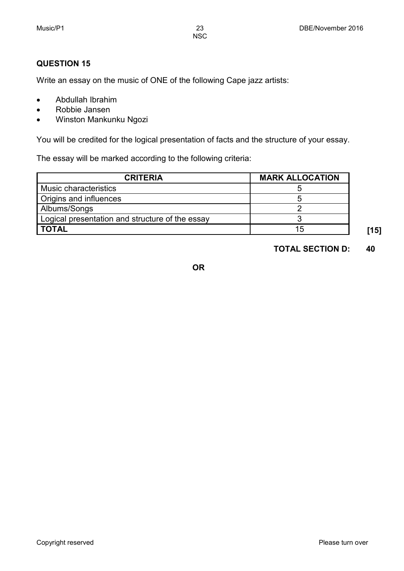#### **QUESTION 15**

Write an essay on the music of ONE of the following Cape jazz artists:

- Abdullah Ibrahim
- Robbie Jansen
- Winston Mankunku Ngozi

You will be credited for the logical presentation of facts and the structure of your essay.

The essay will be marked according to the following criteria:

| <b>CRITERIA</b>                                 | <b>MARK ALLOCATION</b> |      |
|-------------------------------------------------|------------------------|------|
| Music characteristics                           |                        |      |
| Origins and influences                          |                        |      |
| Albums/Songs                                    |                        |      |
| Logical presentation and structure of the essay |                        |      |
| l TOTAL                                         |                        | [15] |

**TOTAL SECTION D: 40**

**OR**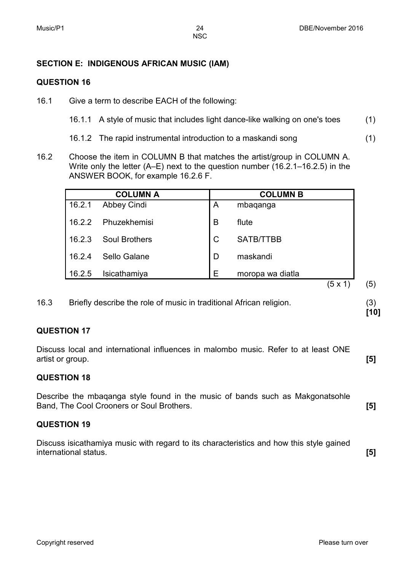## **SECTION E: INDIGENOUS AFRICAN MUSIC (IAM)**

#### **QUESTION 16**

- 16.1 Give a term to describe EACH of the following:
	- 16.1.1 A style of music that includes light dance-like walking on one's toes (1)
	- 16.1.2 The rapid instrumental introduction to a maskandi song (1)
- 16.2 Choose the item in COLUMN B that matches the artist/group in COLUMN A. Write only the letter (A–E) next to the question number (16.2.1–16.2.5) in the ANSWER BOOK, for example 16.2.6 F.

|        | <b>COLUMN A</b>      |              | <b>COLUMN B</b>  |         |
|--------|----------------------|--------------|------------------|---------|
| 16.2.1 | Abbey Cindi          | A            | mbaqanga         |         |
| 16.2.2 | Phuzekhemisi         | B            | flute            |         |
| 16.2.3 | <b>Soul Brothers</b> | $\mathsf{C}$ | SATB/TTBB        |         |
| 16.2.4 | Sello Galane         | D            | maskandi         |         |
| 16.2.5 | Isicathamiya         | Е            | moropa wa diatla |         |
|        |                      |              |                  | (5 x 1) |

16.3 Briefly describe the role of music in traditional African religion. (3)

#### **QUESTION 17**

Discuss local and international influences in malombo music. Refer to at least ONE artist or group. **[5]**

#### **QUESTION 18**

Describe the mbaqanga style found in the music of bands such as Makgonatsohle Band, The Cool Crooners or Soul Brothers. **[5]**

#### **QUESTION 19**

Discuss isicathamiya music with regard to its characteristics and how this style gained international status. **[5]**

**[10]**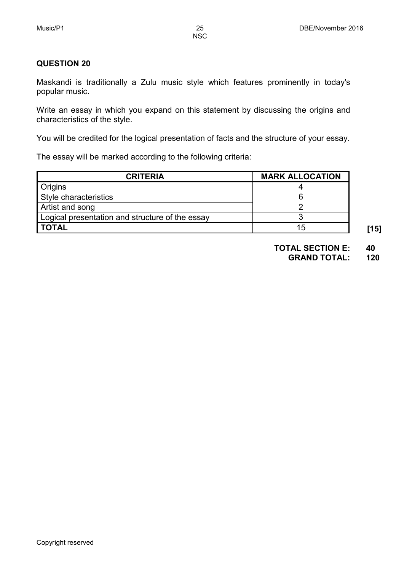## **QUESTION 20**

Maskandi is traditionally a Zulu music style which features prominently in today's popular music.

Write an essay in which you expand on this statement by discussing the origins and characteristics of the style.

You will be credited for the logical presentation of facts and the structure of your essay.

The essay will be marked according to the following criteria:

| <b>CRITERIA</b>                                 | <b>MARK ALLOCATION</b> |     |
|-------------------------------------------------|------------------------|-----|
| <b>Origins</b>                                  |                        |     |
| Style characteristics                           |                        |     |
| Artist and song                                 |                        |     |
| Logical presentation and structure of the essay |                        |     |
| l TOTAL                                         | 15                     | 151 |

**TOTAL SECTION E: 40**

**GRAND TOTAL: 120**